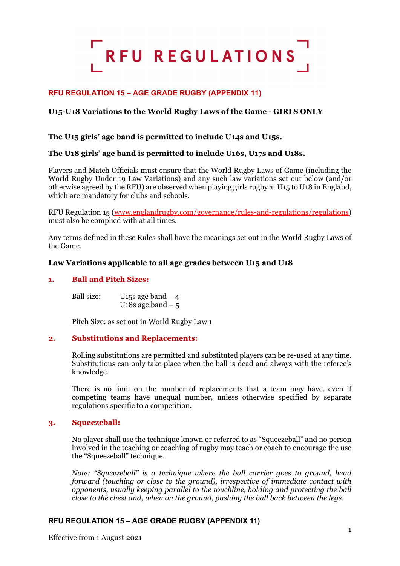

# **RFU REGULATION 15 – AGE GRADE RUGBY (APPENDIX 11)**

# **U15-U18 Variations to the World Rugby Laws of the Game - GIRLS ONLY**

# **The U15 girls' age band is permitted to include U14s and U15s.**

# **The U18 girls' age band is permitted to include U16s, U17s and U18s.**

Players and Match Officials must ensure that the World Rugby Laws of Game (including the World Rugby Under 19 Law Variations) and any such law variations set out below (and/or otherwise agreed by the RFU) are observed when playing girls rugby at U15 to U18 in England, which are mandatory for clubs and schools.

RFU Regulation 15 [\(www.englandrugby.com/governance/rules-and-regulations/regulations\)](http://www.englandrugby.com/governance/rules-and-regulations/regulations) must also be complied with at all times.

Any terms defined in these Rules shall have the meanings set out in the World Rugby Laws of the Game.

### **Law Variations applicable to all age grades between U15 and U18**

### **1. Ball and Pitch Sizes:**

Ball size: U<sub>15</sub>s age band  $-4$ U<sub>18s</sub> age band  $-5$ 

Pitch Size: as set out in World Rugby Law 1

#### **2. Substitutions and Replacements:**

Rolling substitutions are permitted and substituted players can be re-used at any time. Substitutions can only take place when the ball is dead and always with the referee's knowledge.

There is no limit on the number of replacements that a team may have, even if competing teams have unequal number, unless otherwise specified by separate regulations specific to a competition.

#### **3. Squeezeball:**

No player shall use the technique known or referred to as "Squeezeball" and no person involved in the teaching or coaching of rugby may teach or coach to encourage the use the "Squeezeball" technique.

*Note: "Squeezeball" is a technique where the ball carrier goes to ground, head forward (touching or close to the ground), irrespective of immediate contact with opponents, usually keeping parallel to the touchline, holding and protecting the ball close to the chest and, when on the ground, pushing the ball back between the legs.*

# **RFU REGULATION 15 – AGE GRADE RUGBY (APPENDIX 11)**

Effective from 1 August 2021